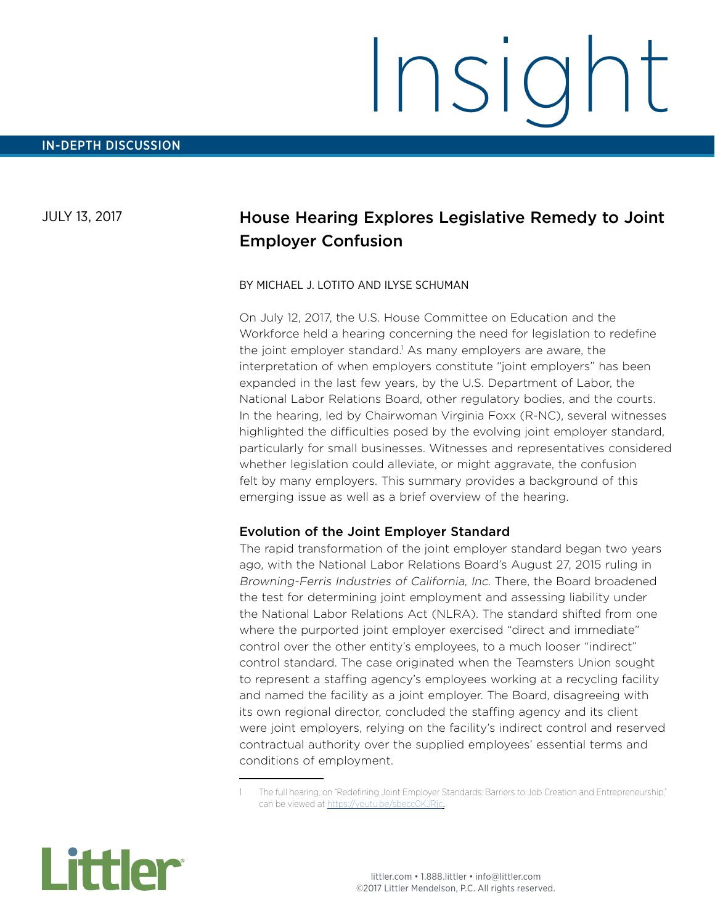## JULY 13, 2017

# House Hearing Explores Legislative Remedy to Joint Employer Confusion

#### BY MICHAEL J. LOTITO AND ILYSE SCHUMAN

On July 12, 2017, the U.S. House Committee on Education and the Workforce held a hearing concerning the need for legislation to redefine the joint employer standard.<sup>1</sup> As many employers are aware, the interpretation of when employers constitute "joint employers" has been expanded in the last few years, by the U.S. Department of Labor, the National Labor Relations Board, other regulatory bodies, and the courts. In the hearing, led by Chairwoman Virginia Foxx (R-NC), several witnesses highlighted the difficulties posed by the evolving joint employer standard, particularly for small businesses. Witnesses and representatives considered whether legislation could alleviate, or might aggravate, the confusion felt by many employers. This summary provides a background of this emerging issue as well as a brief overview of the hearing.

### Evolution of the Joint Employer Standard

The rapid transformation of the joint employer standard began two years ago, with the National Labor Relations Board's August 27, 2015 ruling in Browning-Ferris Industries of California, Inc. There, the Board broadened the test for determining joint employment and assessing liability under the National Labor Relations Act (NLRA). The standard shifted from one where the purported joint employer exercised "direct and immediate" control over the other entity's employees, to a much looser "indirect" control standard. The case originated when the Teamsters Union sought to represent a staffing agency's employees working at a recycling facility and named the facility as a joint employer. The Board, disagreeing with its own regional director, concluded the staffing agency and its client were joint employers, relying on the facility's indirect control and reserved contractual authority over the supplied employees' essential terms and conditions of employment.



<sup>1</sup> The full hearing, on "Redefining Joint Employer Standards: Barriers to Job Creation and Entrepreneurship," can be viewed at<https://youtu.be/sbecc0KJRjc>..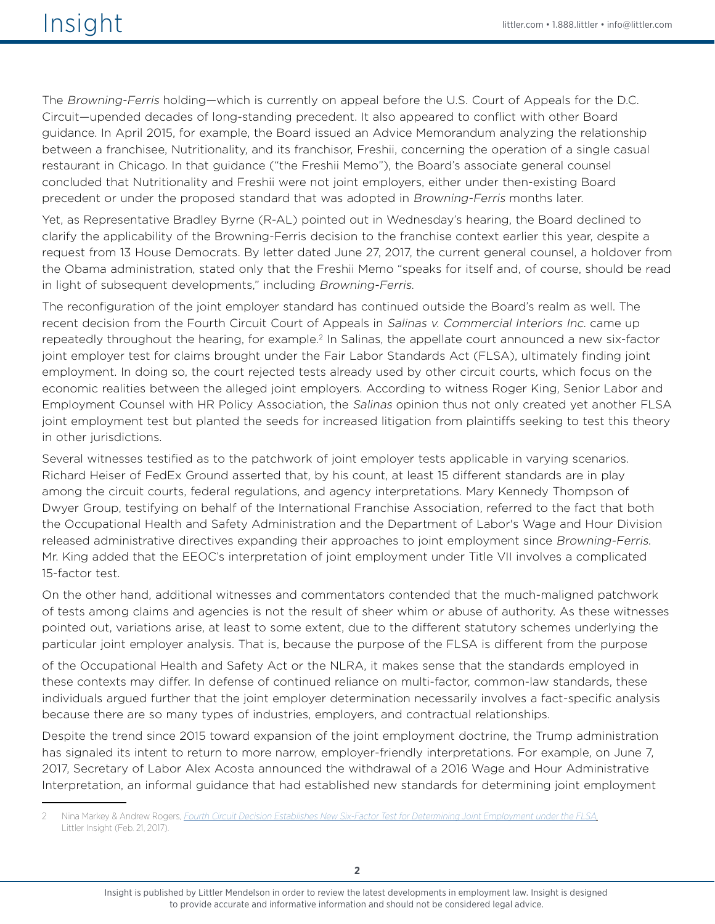The Browning-Ferris holding—which is currently on appeal before the U.S. Court of Appeals for the D.C. Circuit—upended decades of long-standing precedent. It also appeared to conflict with other Board guidance. In April 2015, for example, the Board issued an Advice Memorandum analyzing the relationship between a franchisee, Nutritionality, and its franchisor, Freshii, concerning the operation of a single casual restaurant in Chicago. In that guidance ("the Freshii Memo"), the Board's associate general counsel concluded that Nutritionality and Freshii were not joint employers, either under then-existing Board precedent or under the proposed standard that was adopted in Browning-Ferris months later.

Yet, as Representative Bradley Byrne (R-AL) pointed out in Wednesday's hearing, the Board declined to clarify the applicability of the Browning-Ferris decision to the franchise context earlier this year, despite a request from 13 House Democrats. By letter dated June 27, 2017, the current general counsel, a holdover from the Obama administration, stated only that the Freshii Memo "speaks for itself and, of course, should be read in light of subsequent developments," including Browning-Ferris.

The reconfiguration of the joint employer standard has continued outside the Board's realm as well. The recent decision from the Fourth Circuit Court of Appeals in Salinas v. Commercial Interiors Inc. came up repeatedly throughout the hearing, for example.2 In Salinas, the appellate court announced a new six-factor joint employer test for claims brought under the Fair Labor Standards Act (FLSA), ultimately finding joint employment. In doing so, the court rejected tests already used by other circuit courts, which focus on the economic realities between the alleged joint employers. According to witness Roger King, Senior Labor and Employment Counsel with HR Policy Association, the Salinas opinion thus not only created yet another FLSA joint employment test but planted the seeds for increased litigation from plaintiffs seeking to test this theory in other jurisdictions.

Several witnesses testified as to the patchwork of joint employer tests applicable in varying scenarios. Richard Heiser of FedEx Ground asserted that, by his count, at least 15 different standards are in play among the circuit courts, federal regulations, and agency interpretations. Mary Kennedy Thompson of Dwyer Group, testifying on behalf of the International Franchise Association, referred to the fact that both the Occupational Health and Safety Administration and the Department of Labor's Wage and Hour Division released administrative directives expanding their approaches to joint employment since Browning-Ferris. Mr. King added that the EEOC's interpretation of joint employment under Title VII involves a complicated 15-factor test.

On the other hand, additional witnesses and commentators contended that the much-maligned patchwork of tests among claims and agencies is not the result of sheer whim or abuse of authority. As these witnesses pointed out, variations arise, at least to some extent, due to the different statutory schemes underlying the particular joint employer analysis. That is, because the purpose of the FLSA is different from the purpose

of the Occupational Health and Safety Act or the NLRA, it makes sense that the standards employed in these contexts may differ. In defense of continued reliance on multi-factor, common-law standards, these individuals argued further that the joint employer determination necessarily involves a fact-specific analysis because there are so many types of industries, employers, and contractual relationships.

Despite the trend since 2015 toward expansion of the joint employment doctrine, the Trump administration has signaled its intent to return to more narrow, employer-friendly interpretations. For example, on June 7, 2017, Secretary of Labor Alex Acosta announced the withdrawal of a 2016 Wage and Hour Administrative Interpretation, an informal guidance that had established new standards for determining joint employment

Insight is published by Littler Mendelson in order to review the latest developments in employment law. Insight is designed to provide accurate and informative information and should not be considered legal advice.

<sup>2</sup> Nina Markey & Andrew Rogers, [Fourth Circuit Decision Establishes New Six-Factor Test for Determining Joint Employment under the FLSA](https://www.littler.com/publication-press/publication/fourth-circuit-decision-establishes-new-six-factor-test-determining), Littler Insight (Feb. 21, 2017).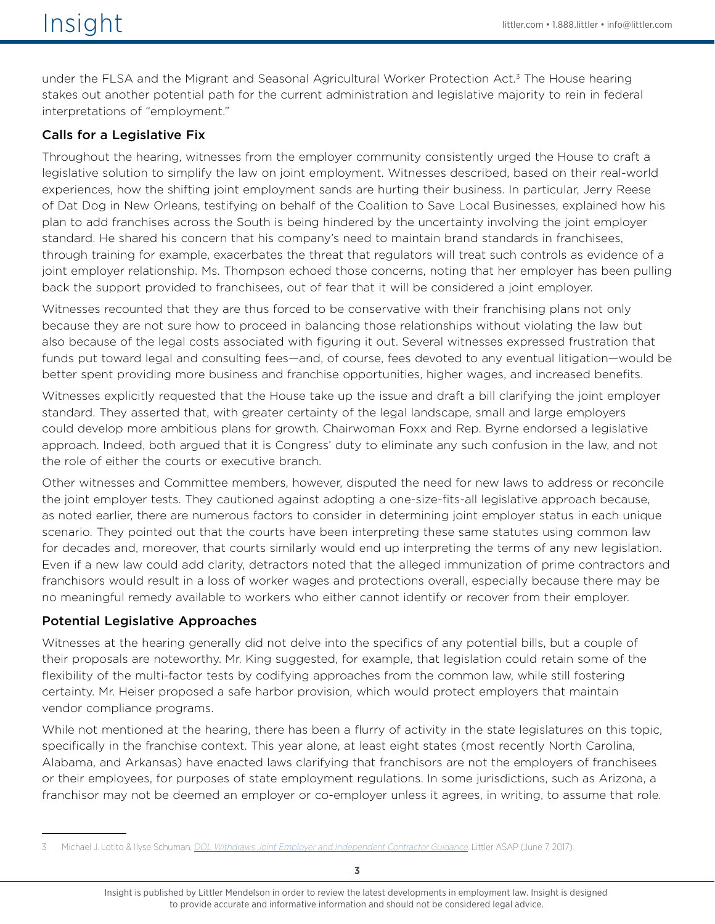under the FLSA and the Migrant and Seasonal Agricultural Worker Protection Act.<sup>3</sup> The House hearing stakes out another potential path for the current administration and legislative majority to rein in federal interpretations of "employment."

## Calls for a Legislative Fix

Throughout the hearing, witnesses from the employer community consistently urged the House to craft a legislative solution to simplify the law on joint employment. Witnesses described, based on their real-world experiences, how the shifting joint employment sands are hurting their business. In particular, Jerry Reese of Dat Dog in New Orleans, testifying on behalf of the Coalition to Save Local Businesses, explained how his plan to add franchises across the South is being hindered by the uncertainty involving the joint employer standard. He shared his concern that his company's need to maintain brand standards in franchisees, through training for example, exacerbates the threat that regulators will treat such controls as evidence of a joint employer relationship. Ms. Thompson echoed those concerns, noting that her employer has been pulling back the support provided to franchisees, out of fear that it will be considered a joint employer.

Witnesses recounted that they are thus forced to be conservative with their franchising plans not only because they are not sure how to proceed in balancing those relationships without violating the law but also because of the legal costs associated with figuring it out. Several witnesses expressed frustration that funds put toward legal and consulting fees—and, of course, fees devoted to any eventual litigation—would be better spent providing more business and franchise opportunities, higher wages, and increased benefits.

Witnesses explicitly requested that the House take up the issue and draft a bill clarifying the joint employer standard. They asserted that, with greater certainty of the legal landscape, small and large employers could develop more ambitious plans for growth. Chairwoman Foxx and Rep. Byrne endorsed a legislative approach. Indeed, both argued that it is Congress' duty to eliminate any such confusion in the law, and not the role of either the courts or executive branch.

Other witnesses and Committee members, however, disputed the need for new laws to address or reconcile the joint employer tests. They cautioned against adopting a one-size-fits-all legislative approach because, as noted earlier, there are numerous factors to consider in determining joint employer status in each unique scenario. They pointed out that the courts have been interpreting these same statutes using common law for decades and, moreover, that courts similarly would end up interpreting the terms of any new legislation. Even if a new law could add clarity, detractors noted that the alleged immunization of prime contractors and franchisors would result in a loss of worker wages and protections overall, especially because there may be no meaningful remedy available to workers who either cannot identify or recover from their employer.

## Potential Legislative Approaches

Witnesses at the hearing generally did not delve into the specifics of any potential bills, but a couple of their proposals are noteworthy. Mr. King suggested, for example, that legislation could retain some of the flexibility of the multi-factor tests by codifying approaches from the common law, while still fostering certainty. Mr. Heiser proposed a safe harbor provision, which would protect employers that maintain vendor compliance programs.

While not mentioned at the hearing, there has been a flurry of activity in the state legislatures on this topic, specifically in the franchise context. This year alone, at least eight states (most recently North Carolina, Alabama, and Arkansas) have enacted laws clarifying that franchisors are not the employers of franchisees or their employees, for purposes of state employment regulations. In some jurisdictions, such as Arizona, a franchisor may not be deemed an employer or co-employer unless it agrees, in writing, to assume that role.

Insight is published by Littler Mendelson in order to review the latest developments in employment law. Insight is designed to provide accurate and informative information and should not be considered legal advice.

<sup>3</sup> Michael J. Lotito & Ilyse Schuman, [DOL Withdraws Joint Employer and Independent Contractor Guidance](https://www.littler.com/publication-press/publication/dol-withdraws-joint-employer-and-independent-contractor-guidance), Littler ASAP (June 7, 2017).